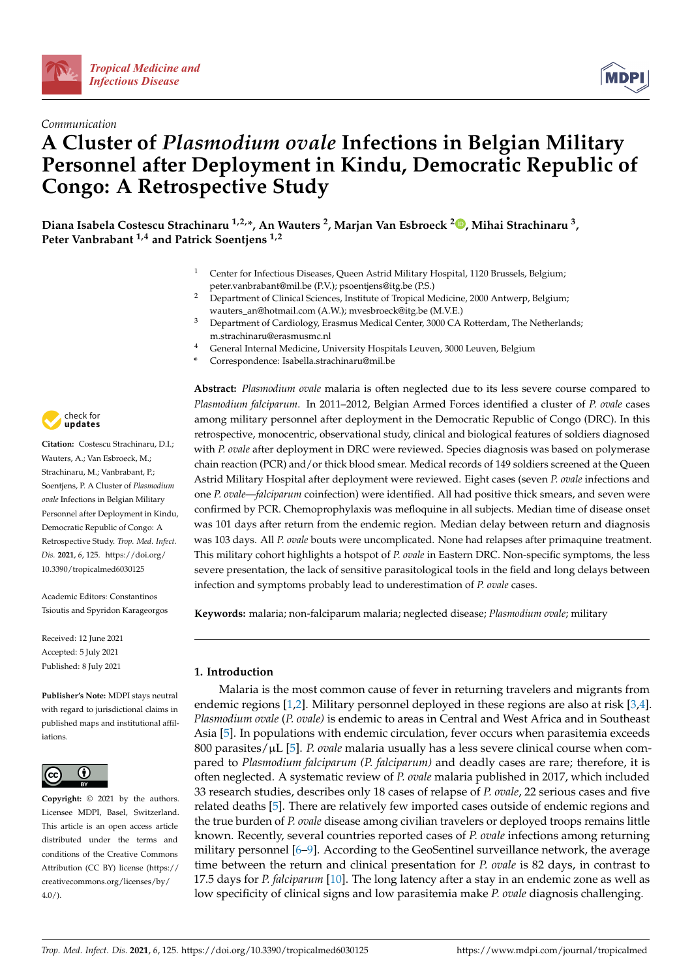





# **A Cluster of** *Plasmodium ovale* **Infections in Belgian Military Personnel after Deployment in Kindu, Democratic Republic of Congo: A Retrospective Study**

**Diana Isabela Costescu Strachinaru 1,2,\*, An Wauters <sup>2</sup> , Marjan Van Esbroeck <sup>2</sup> [,](https://orcid.org/0000-0002-7294-6319) Mihai Strachinaru <sup>3</sup> , Peter Vanbrabant 1,4 and Patrick Soentjens 1,2**

- <sup>1</sup> Center for Infectious Diseases, Queen Astrid Military Hospital, 1120 Brussels, Belgium; peter.vanbrabant@mil.be (P.V.); psoentjens@itg.be (P.S.)
- <sup>2</sup> Department of Clinical Sciences, Institute of Tropical Medicine, 2000 Antwerp, Belgium; wauters\_an@hotmail.com (A.W.); mvesbroeck@itg.be (M.V.E.)
- <sup>3</sup> Department of Cardiology, Erasmus Medical Center, 3000 CA Rotterdam, The Netherlands; m.strachinaru@erasmusmc.nl
- <sup>4</sup> General Internal Medicine, University Hospitals Leuven, 3000 Leuven, Belgium
- **\*** Correspondence: Isabella.strachinaru@mil.be

**Abstract:** *Plasmodium ovale* malaria is often neglected due to its less severe course compared to *Plasmodium falciparum*. In 2011–2012, Belgian Armed Forces identified a cluster of *P. ovale* cases among military personnel after deployment in the Democratic Republic of Congo (DRC). In this retrospective, monocentric, observational study, clinical and biological features of soldiers diagnosed with *P. ovale* after deployment in DRC were reviewed. Species diagnosis was based on polymerase chain reaction (PCR) and/or thick blood smear. Medical records of 149 soldiers screened at the Queen Astrid Military Hospital after deployment were reviewed. Eight cases (seven *P. ovale* infections and one *P. ovale—falciparum* coinfection) were identified. All had positive thick smears, and seven were confirmed by PCR. Chemoprophylaxis was mefloquine in all subjects. Median time of disease onset was 101 days after return from the endemic region. Median delay between return and diagnosis was 103 days. All *P. ovale* bouts were uncomplicated. None had relapses after primaquine treatment. This military cohort highlights a hotspot of *P. ovale* in Eastern DRC. Non-specific symptoms, the less severe presentation, the lack of sensitive parasitological tools in the field and long delays between infection and symptoms probably lead to underestimation of *P. ovale* cases.

**Keywords:** malaria; non-falciparum malaria; neglected disease; *Plasmodium ovale*; military

# **1. Introduction**

Malaria is the most common cause of fever in returning travelers and migrants from endemic regions [\[1,](#page-6-0)[2\]](#page-6-1). Military personnel deployed in these regions are also at risk [\[3,](#page-6-2)[4\]](#page-6-3). *Plasmodium ovale* (*P. ovale)* is endemic to areas in Central and West Africa and in Southeast Asia [\[5\]](#page-6-4). In populations with endemic circulation, fever occurs when parasitemia exceeds 800 parasites/µL [\[5\]](#page-6-4). *P. ovale* malaria usually has a less severe clinical course when compared to *Plasmodium falciparum (P. falciparum)* and deadly cases are rare; therefore, it is often neglected. A systematic review of *P. ovale* malaria published in 2017, which included 33 research studies, describes only 18 cases of relapse of *P. ovale*, 22 serious cases and five related deaths [\[5\]](#page-6-4). There are relatively few imported cases outside of endemic regions and the true burden of *P. ovale* disease among civilian travelers or deployed troops remains little known. Recently, several countries reported cases of *P. ovale* infections among returning military personnel [\[6](#page-6-5)[–9\]](#page-6-6). According to the GeoSentinel surveillance network, the average time between the return and clinical presentation for *P. ovale* is 82 days, in contrast to 17.5 days for *P. falciparum* [\[10\]](#page-6-7). The long latency after a stay in an endemic zone as well as low specificity of clinical signs and low parasitemia make *P. ovale* diagnosis challenging.



**Citation:** Costescu Strachinaru, D.I.; Wauters, A.; Van Esbroeck, M.; Strachinaru, M.; Vanbrabant, P.; Soentjens, P. A Cluster of *Plasmodium ovale* Infections in Belgian Military Personnel after Deployment in Kindu, Democratic Republic of Congo: A Retrospective Study. *Trop. Med. Infect. Dis.* **2021**, *6*, 125. [https://doi.org/](https://doi.org/10.3390/tropicalmed6030125) [10.3390/tropicalmed6030125](https://doi.org/10.3390/tropicalmed6030125)

Academic Editors: Constantinos Tsioutis and Spyridon Karageorgos

Received: 12 June 2021 Accepted: 5 July 2021 Published: 8 July 2021

**Publisher's Note:** MDPI stays neutral with regard to jurisdictional claims in published maps and institutional affiliations.



**Copyright:** © 2021 by the authors. Licensee MDPI, Basel, Switzerland. This article is an open access article distributed under the terms and conditions of the Creative Commons Attribution (CC BY) license (https:/[/](https://creativecommons.org/licenses/by/4.0/) [creativecommons.org/licenses/by/](https://creativecommons.org/licenses/by/4.0/) 4.0/).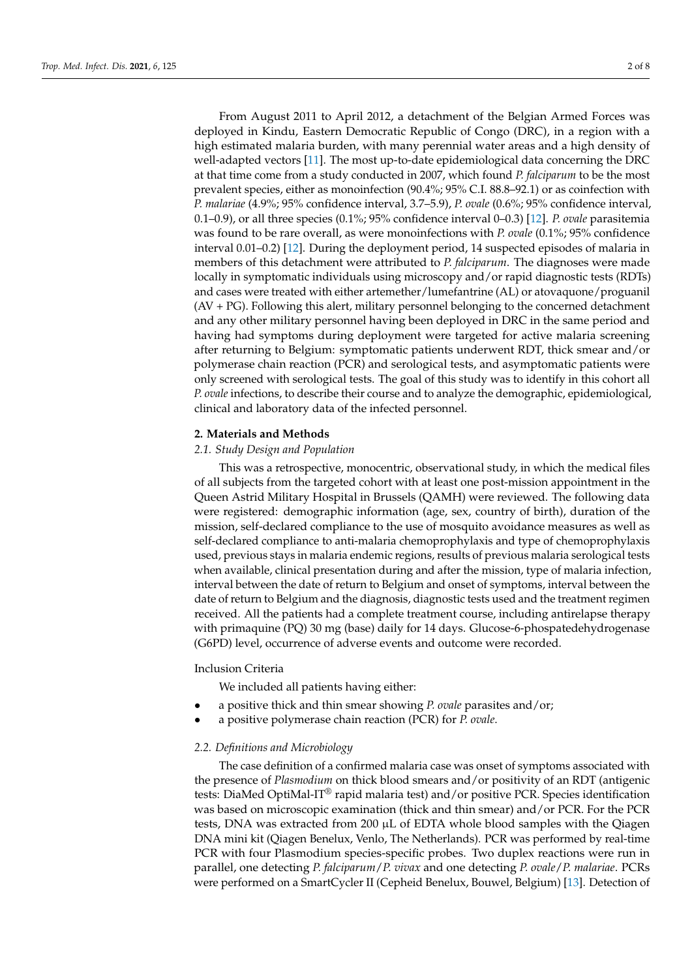From August 2011 to April 2012, a detachment of the Belgian Armed Forces was deployed in Kindu, Eastern Democratic Republic of Congo (DRC), in a region with a high estimated malaria burden, with many perennial water areas and a high density of well-adapted vectors [\[11\]](#page-6-8). The most up-to-date epidemiological data concerning the DRC at that time come from a study conducted in 2007, which found *P. falciparum* to be the most prevalent species, either as monoinfection (90.4%; 95% C.I. 88.8–92.1) or as coinfection with *P. malariae* (4.9%; 95% confidence interval, 3.7–5.9), *P. ovale* (0.6%; 95% confidence interval, 0.1–0.9), or all three species (0.1%; 95% confidence interval 0–0.3) [\[12\]](#page-6-9). *P. ovale* parasitemia was found to be rare overall, as were monoinfections with *P. ovale* (0.1%; 95% confidence interval 0.01–0.2) [\[12\]](#page-6-9). During the deployment period, 14 suspected episodes of malaria in members of this detachment were attributed to *P. falciparum*. The diagnoses were made locally in symptomatic individuals using microscopy and/or rapid diagnostic tests (RDTs) and cases were treated with either artemether/lumefantrine (AL) or atovaquone/proguanil (AV + PG). Following this alert, military personnel belonging to the concerned detachment and any other military personnel having been deployed in DRC in the same period and having had symptoms during deployment were targeted for active malaria screening after returning to Belgium: symptomatic patients underwent RDT, thick smear and/or polymerase chain reaction (PCR) and serological tests, and asymptomatic patients were only screened with serological tests. The goal of this study was to identify in this cohort all *P. ovale* infections, to describe their course and to analyze the demographic, epidemiological, clinical and laboratory data of the infected personnel.

## **2. Materials and Methods**

## *2.1. Study Design and Population*

This was a retrospective, monocentric, observational study, in which the medical files of all subjects from the targeted cohort with at least one post-mission appointment in the Queen Astrid Military Hospital in Brussels (QAMH) were reviewed. The following data were registered: demographic information (age, sex, country of birth), duration of the mission, self-declared compliance to the use of mosquito avoidance measures as well as self-declared compliance to anti-malaria chemoprophylaxis and type of chemoprophylaxis used, previous stays in malaria endemic regions, results of previous malaria serological tests when available, clinical presentation during and after the mission, type of malaria infection, interval between the date of return to Belgium and onset of symptoms, interval between the date of return to Belgium and the diagnosis, diagnostic tests used and the treatment regimen received. All the patients had a complete treatment course, including antirelapse therapy with primaquine (PQ) 30 mg (base) daily for 14 days. Glucose-6-phospatedehydrogenase (G6PD) level, occurrence of adverse events and outcome were recorded.

# Inclusion Criteria

We included all patients having either:

- a positive thick and thin smear showing *P. ovale* parasites and/or;
- a positive polymerase chain reaction (PCR) for *P. ovale*.

## *2.2. Definitions and Microbiology*

The case definition of a confirmed malaria case was onset of symptoms associated with the presence of *Plasmodium* on thick blood smears and/or positivity of an RDT (antigenic tests: DiaMed OptiMal-IT® rapid malaria test) and/or positive PCR. Species identification was based on microscopic examination (thick and thin smear) and/or PCR. For the PCR tests, DNA was extracted from 200 µL of EDTA whole blood samples with the Qiagen DNA mini kit (Qiagen Benelux, Venlo, The Netherlands). PCR was performed by real-time PCR with four Plasmodium species-specific probes. Two duplex reactions were run in parallel, one detecting *P. falciparum*/*P. vivax* and one detecting *P. ovale*/*P. malariae*. PCRs were performed on a SmartCycler II (Cepheid Benelux, Bouwel, Belgium) [\[13\]](#page-6-10). Detection of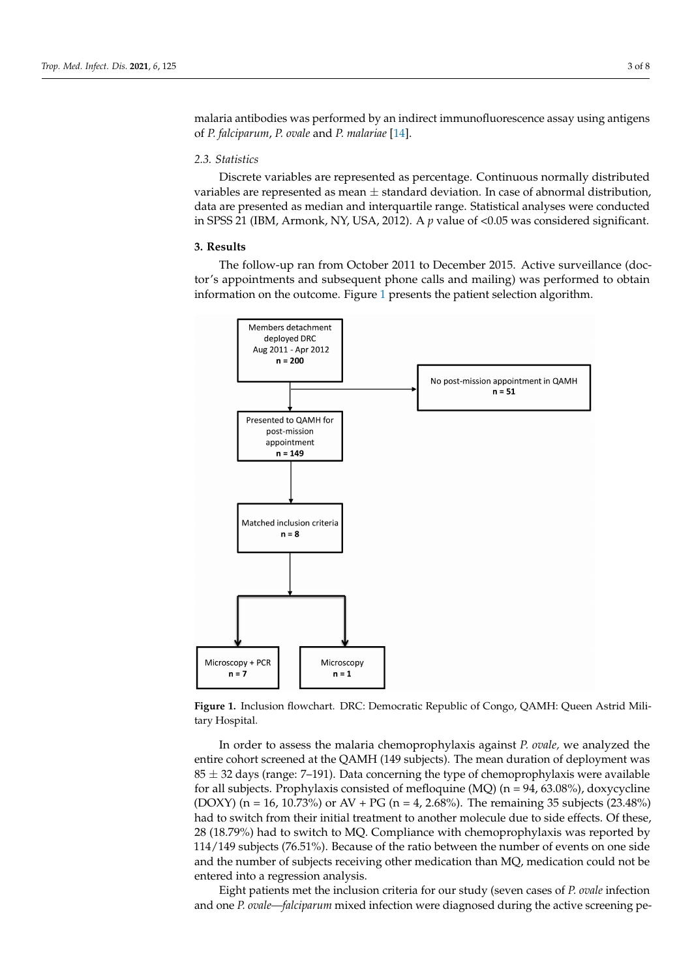malaria antibodies was performed by an indirect immunofluorescence assay using antigens of *P. falciparum*, *P. ovale* and *P. malariae* [\[14\]](#page-6-11).

#### *2.3. Statistics*  $\sum_{i=1}^{\infty}$  distributed as percentage. Continuous normally distributed as percentage. Continuous normally distributed as  $\sum_{i=1}^{\infty}$

Discrete variables are represented as percentage. Continuous normally distributed variables are represented as mean  $\pm$  standard deviation. In case of abnormal distribution, data are presented as median and interquartile range. Statistical analyses were conducted in SPSS 21 (IBM, Armonk, NY, USA, 2012). A *p* value of <0.05 was considered significant.

### **3. Results 3. Results**

Hospital.

The follow-up ran from October 2011 to December 2015. Active surveillance (doctor's appointments and subsequent phone calls and mailing) was performed to obtain information on the outcome. Figure [1](#page-2-0) presents the patient selection algorithm. The follow-up ran from October 2011 to December 2015. Active surveillance (docthe follow-up rail from October 2011 to December 2015. Active surveniance (do

<span id="page-2-0"></span>

**Figure 1. <b>Inclusion Figure 2. Figure 2. Figure Assemblic of Congo, QAMH: QAMH: QAMH: QAMH: QAMH: QAMH: QAMH: QAMH: QAMH: QAMH: QAMH: QAMH: QAMH: QAMH: QAMH: QAMH: QAMH: QAMH: QAMH: QAMH: QAMH: QAMH: QAMH: QAMH: QAMH: Figure 1.** Inclusion flowchart. DRC: Democratic Republic of Congo, QAMH: Queen Astrid Mili-

entire cohort screened at the QAMH (149 subjects). The mean duration of deployment was  $85 \pm 32$  days (range: 7–191). Data concerning the type of chemoprophylaxis were available for all subjects. Prophylaxis consisted of mefloquine (MQ) (n = 94, 63.08%), doxycycline (DOXY) (n = 16, 10.73%) or AV + PG (n = 4, 2.68%). The remaining 35 subjects (23.48%) In order to assess the malaria chemoprophylaxis against *P. ovale,* we analyzed the had to switch from their initial treatment to another molecule due to side effects. Of these, 28 (18.79%) had to switch to MQ. Compliance with chemoprophylaxis was reported by 114/149 subjects (76.51%). Because of the ratio between the number of events on one side and the number of subjects receiving other medication than MQ, medication could not be entered into a regression analysis.

Eight patients met the inclusion criteria for our study (seven cases of *P. ovale* infection and one *P. ovale—falciparum* mixed infection were diagnosed during the active screening pe-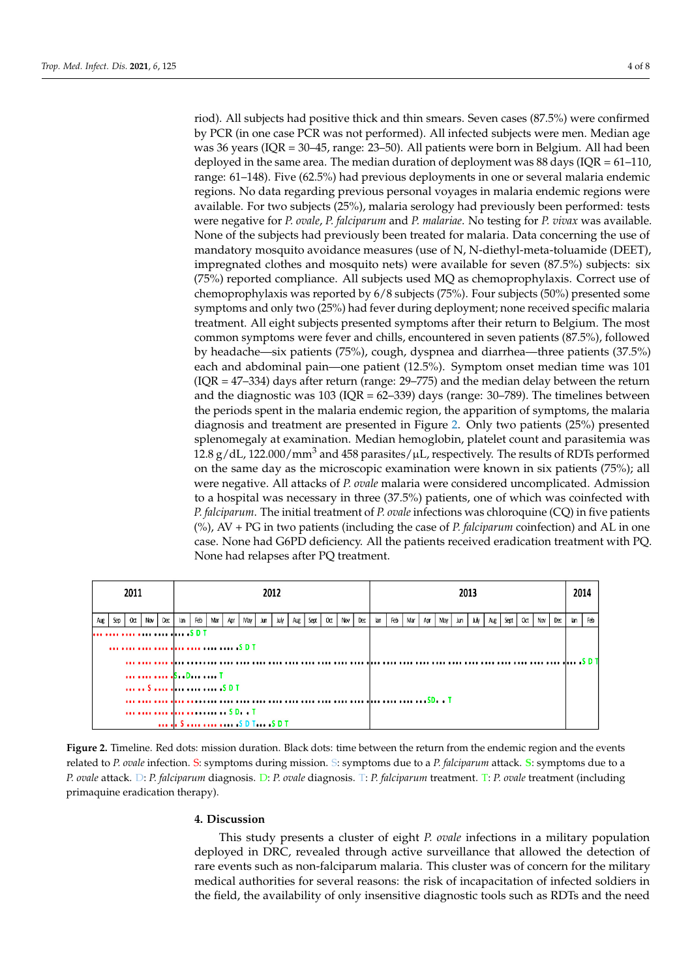riod). All subjects had positive thick and thin smears. Seven cases (87.5%) were confirmed by PCR (in one case PCR was not performed). All infected subjects were men. Median age was 36 years (IQR = 30–45, range: 23–50). All patients were born in Belgium. All had been deployed in the same area. The median duration of deployment was 88 days (IQR =  $61-110$ , range: 61–148). Five (62.5%) had previous deployments in one or several malaria endemic regions. No data regarding previous personal voyages in malaria endemic regions were previously been performed: tests were negative for *P. ovale*, *P. falciparum* and *P. malariae*. available. For two subjects (25%), malaria serology had previously been performed: tests were negative for *P. ovale, P. falciparum* and *P. malariae*. No testing for *P. vivax* was available. None of the subjects had previously been treated for malaria. Data concerning the use of mandatory mosquito avoidance measures (use of N, N-diethyl-meta-toluamide (DEET), mandatory mosquito avoidance measures (use of N, N-diethyl-meta-toluamide (DEET),<br>impregnated clothes and mosquito nets) were available for seven (87.5%) subjects: six  $(75%)$  reported compliance. All subjects used MQ as chemoprophylaxis. Correct use of chemoprophylaxis was reported by 6/8 subjects (75%). Four subjects (50%) presented some symptoms and only two (25%) had fever during deployment; none received specific malaria treatment. All eight subjects presented symptoms after their return to Belgium. The most common symptoms were fever and chills, encountered in seven patients (87.5%), followed by headache—six patients (75%), cough, dyspnea and diarrhea—three patients (37.5%) each and abdominal pain—one patient (12.5%). Symptom onset median time was 101  $( IQR = 47–334)$  days after return (range: 29–775) and the median delay between the return and the diagnostic was  $103 \text{ (IQR} = 62-339)$  days (range:  $30-789$ ). The timelines between the periods spent in the malaria endemic region, the apparition of symptoms, the malaria diagnosis and treatment are presented in Figure [2.](#page-3-0) Only two patients (25%) presented splenomegaly at examination. Median hemoglobin, platelet count and parasitemia was the results of RDTs performed on the micro-12.8 g/dL, 122.000/mm<sup>3</sup> and 458 parasites/ $\mu$ L, respectively. The results of RDTs performed on the same day as the microscopic examination were known in six patients (75%); all were negative. All attacks of *P. ovale* malaria were considered uncomplicated. Admission to a hospital was necessary in three (37.5%) patients, one of which was coinfected with  $P_{\text{G}}(x)$ *P. falciparum*. The initial treatment of *P. ovale* infections was chloroquine (CQ) in five patients (i) and  $\overline{MS}$ (%), AV + PG in two patients (including the case of *P. falciparum* coinfection) and AL in one case. None had G6PD deficiency. All the patients received eradication treatment with PQ. None had relapses after PQ treatment. after PQ treatment.

<span id="page-3-0"></span>

| 2011                                         | 2012                                                                                     | 2013                                                                          | 2014       |
|----------------------------------------------|------------------------------------------------------------------------------------------|-------------------------------------------------------------------------------|------------|
| 0 <sub>d</sub><br>Dec<br>Sep<br>Nov l<br>Aug | Feb<br>Mar<br>Sept  <br>Oct<br>Nov<br>May  <br>Aug<br>Apr<br>Dec<br>Jun<br>July 1<br>lan | Feb<br>July<br>Mar<br>Nov<br>Dec<br>Apr<br>Sept<br>Oct<br>lan<br>May  <br>Aug | Feb<br>lan |
|                                              | S D T                                                                                    |                                                                               |            |
|                                              |                                                                                          |                                                                               |            |
|                                              | $\cdots \cdots \cdots \cdots \cdots$                                                     |                                                                               |            |
|                                              | S     .S D T                                                                             |                                                                               |            |
|                                              | in in mountain common SD.                                                                |                                                                               |            |
|                                              | <b>111 Jr. S. 1111 1111 1111 15 D T.  . S D T.</b>                                       |                                                                               |            |

**Figure 2.** Timeline. Red dots: mission duration. Black dots: time between the return from the endemic region and the events related to *P. ovale* infection. S: symptoms during mission. S: symptoms due to a *P. falciparum* attack. **S**: symptoms due to a *P. ovale* attack. D: *P. falciparum* diagnosis. D: *P. ovale* diagnosis. T: *P. falciparum* treatment. T: *P. ovale* treatment (including primaquine eradication therapy).

## **4. Discussion**

This study presents a cluster of eight *P. ovale* infections in a military population deployed in DRC, revealed through active surveillance that allowed the detection of rare events such as non-falciparum malaria. This cluster was of concern for the military medical authorities for several reasons: the risk of incapacitation of infected soldiers in the field, the availability of only insensitive diagnostic tools such as RDTs and the need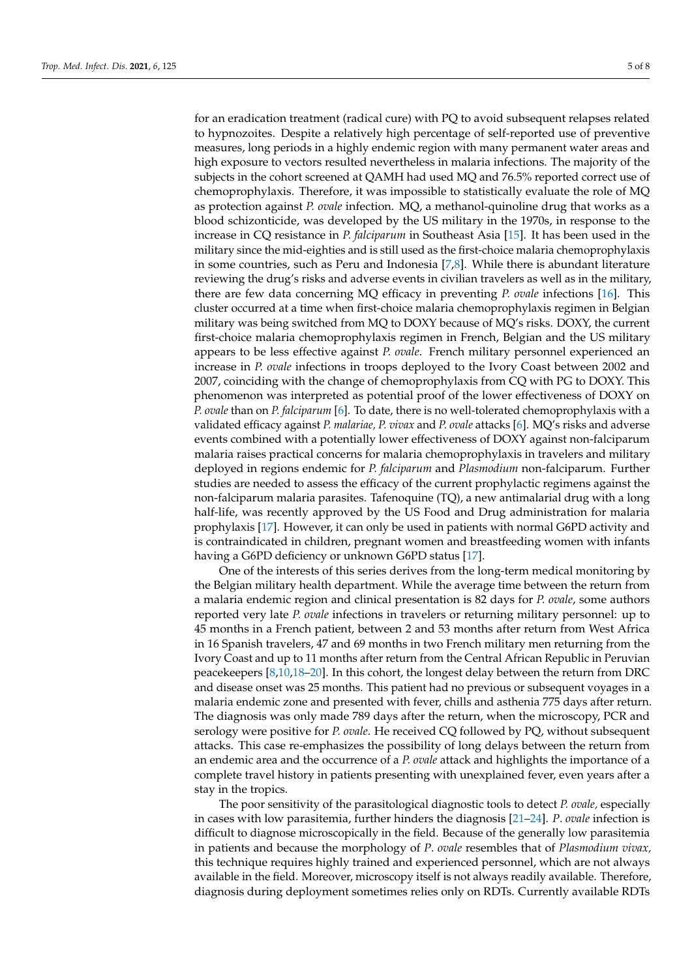for an eradication treatment (radical cure) with PQ to avoid subsequent relapses related to hypnozoites. Despite a relatively high percentage of self-reported use of preventive measures, long periods in a highly endemic region with many permanent water areas and high exposure to vectors resulted nevertheless in malaria infections. The majority of the subjects in the cohort screened at QAMH had used MQ and 76.5% reported correct use of chemoprophylaxis. Therefore, it was impossible to statistically evaluate the role of MQ as protection against *P. ovale* infection. MQ, a methanol-quinoline drug that works as a blood schizonticide, was developed by the US military in the 1970s, in response to the increase in CQ resistance in *P. falciparum* in Southeast Asia [\[15\]](#page-6-12). It has been used in the military since the mid-eighties and is still used as the first-choice malaria chemoprophylaxis in some countries, such as Peru and Indonesia [\[7](#page-6-13)[,8\]](#page-6-14). While there is abundant literature reviewing the drug's risks and adverse events in civilian travelers as well as in the military, there are few data concerning MQ efficacy in preventing *P. ovale* infections [\[16\]](#page-6-15). This cluster occurred at a time when first-choice malaria chemoprophylaxis regimen in Belgian military was being switched from MQ to DOXY because of MQ's risks. DOXY, the current first-choice malaria chemoprophylaxis regimen in French, Belgian and the US military appears to be less effective against *P. ovale*. French military personnel experienced an increase in *P. ovale* infections in troops deployed to the Ivory Coast between 2002 and 2007, coinciding with the change of chemoprophylaxis from CQ with PG to DOXY. This phenomenon was interpreted as potential proof of the lower effectiveness of DOXY on *P. ovale* than on *P. falciparum* [\[6\]](#page-6-5). To date, there is no well-tolerated chemoprophylaxis with a validated efficacy against *P. malariae, P. vivax* and *P. ovale* attacks [\[6\]](#page-6-5). MQ's risks and adverse events combined with a potentially lower effectiveness of DOXY against non-falciparum malaria raises practical concerns for malaria chemoprophylaxis in travelers and military deployed in regions endemic for *P. falciparum* and *Plasmodium* non-falciparum. Further studies are needed to assess the efficacy of the current prophylactic regimens against the non-falciparum malaria parasites. Tafenoquine (TQ), a new antimalarial drug with a long half-life, was recently approved by the US Food and Drug administration for malaria prophylaxis [\[17\]](#page-6-16). However, it can only be used in patients with normal G6PD activity and is contraindicated in children, pregnant women and breastfeeding women with infants having a G6PD deficiency or unknown G6PD status [\[17\]](#page-6-16).

One of the interests of this series derives from the long-term medical monitoring by the Belgian military health department. While the average time between the return from a malaria endemic region and clinical presentation is 82 days for *P. ovale*, some authors reported very late *P. ovale* infections in travelers or returning military personnel: up to 45 months in a French patient, between 2 and 53 months after return from West Africa in 16 Spanish travelers, 47 and 69 months in two French military men returning from the Ivory Coast and up to 11 months after return from the Central African Republic in Peruvian peacekeepers [\[8,](#page-6-14)[10](#page-6-7)[,18–](#page-6-17)[20\]](#page-6-18). In this cohort, the longest delay between the return from DRC and disease onset was 25 months. This patient had no previous or subsequent voyages in a malaria endemic zone and presented with fever, chills and asthenia 775 days after return. The diagnosis was only made 789 days after the return, when the microscopy, PCR and serology were positive for *P. ovale*. He received CQ followed by PQ, without subsequent attacks. This case re-emphasizes the possibility of long delays between the return from an endemic area and the occurrence of a *P. ovale* attack and highlights the importance of a complete travel history in patients presenting with unexplained fever, even years after a stay in the tropics.

The poor sensitivity of the parasitological diagnostic tools to detect *P. ovale,* especially in cases with low parasitemia, further hinders the diagnosis [\[21](#page-6-19)[–24\]](#page-7-0). *P*. *ovale* infection is difficult to diagnose microscopically in the field. Because of the generally low parasitemia in patients and because the morphology of *P*. *ovale* resembles that of *Plasmodium vivax,* this technique requires highly trained and experienced personnel, which are not always available in the field. Moreover, microscopy itself is not always readily available. Therefore, diagnosis during deployment sometimes relies only on RDTs. Currently available RDTs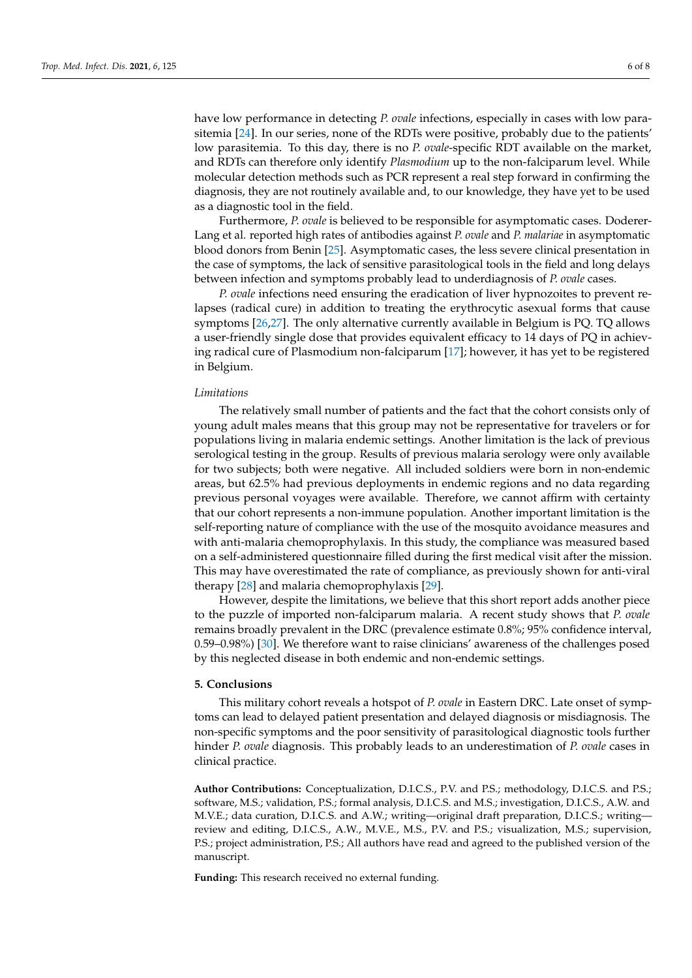have low performance in detecting *P. ovale* infections, especially in cases with low parasitemia [\[24\]](#page-7-0). In our series, none of the RDTs were positive, probably due to the patients' low parasitemia. To this day, there is no *P. ovale*-specific RDT available on the market, and RDTs can therefore only identify *Plasmodium* up to the non-falciparum level. While molecular detection methods such as PCR represent a real step forward in confirming the diagnosis, they are not routinely available and, to our knowledge, they have yet to be used as a diagnostic tool in the field.

Furthermore, *P. ovale* is believed to be responsible for asymptomatic cases. Doderer-Lang et al. reported high rates of antibodies against *P. ovale* and *P. malariae* in asymptomatic blood donors from Benin [\[25\]](#page-7-1). Asymptomatic cases, the less severe clinical presentation in the case of symptoms, the lack of sensitive parasitological tools in the field and long delays between infection and symptoms probably lead to underdiagnosis of *P. ovale* cases.

*P. ovale* infections need ensuring the eradication of liver hypnozoites to prevent relapses (radical cure) in addition to treating the erythrocytic asexual forms that cause symptoms [\[26](#page-7-2)[,27\]](#page-7-3). The only alternative currently available in Belgium is PQ. TQ allows a user-friendly single dose that provides equivalent efficacy to 14 days of PQ in achieving radical cure of Plasmodium non-falciparum [\[17\]](#page-6-16); however, it has yet to be registered in Belgium.

## *Limitations*

The relatively small number of patients and the fact that the cohort consists only of young adult males means that this group may not be representative for travelers or for populations living in malaria endemic settings. Another limitation is the lack of previous serological testing in the group. Results of previous malaria serology were only available for two subjects; both were negative. All included soldiers were born in non-endemic areas, but 62.5% had previous deployments in endemic regions and no data regarding previous personal voyages were available. Therefore, we cannot affirm with certainty that our cohort represents a non-immune population. Another important limitation is the self-reporting nature of compliance with the use of the mosquito avoidance measures and with anti-malaria chemoprophylaxis. In this study, the compliance was measured based on a self-administered questionnaire filled during the first medical visit after the mission. This may have overestimated the rate of compliance, as previously shown for anti-viral therapy [\[28\]](#page-7-4) and malaria chemoprophylaxis [\[29\]](#page-7-5).

However, despite the limitations, we believe that this short report adds another piece to the puzzle of imported non-falciparum malaria. A recent study shows that *P. ovale* remains broadly prevalent in the DRC (prevalence estimate 0.8%; 95% confidence interval, 0.59–0.98%) [\[30\]](#page-7-6). We therefore want to raise clinicians' awareness of the challenges posed by this neglected disease in both endemic and non-endemic settings.

## **5. Conclusions**

This military cohort reveals a hotspot of *P. ovale* in Eastern DRC. Late onset of symptoms can lead to delayed patient presentation and delayed diagnosis or misdiagnosis. The non-specific symptoms and the poor sensitivity of parasitological diagnostic tools further hinder *P. ovale* diagnosis. This probably leads to an underestimation of *P. ovale* cases in clinical practice.

**Author Contributions:** Conceptualization, D.I.C.S., P.V. and P.S.; methodology, D.I.C.S. and P.S.; software, M.S.; validation, P.S.; formal analysis, D.I.C.S. and M.S.; investigation, D.I.C.S., A.W. and M.V.E.; data curation, D.I.C.S. and A.W.; writing—original draft preparation, D.I.C.S.; writing review and editing, D.I.C.S., A.W., M.V.E., M.S., P.V. and P.S.; visualization, M.S.; supervision, P.S.; project administration, P.S.; All authors have read and agreed to the published version of the manuscript.

**Funding:** This research received no external funding.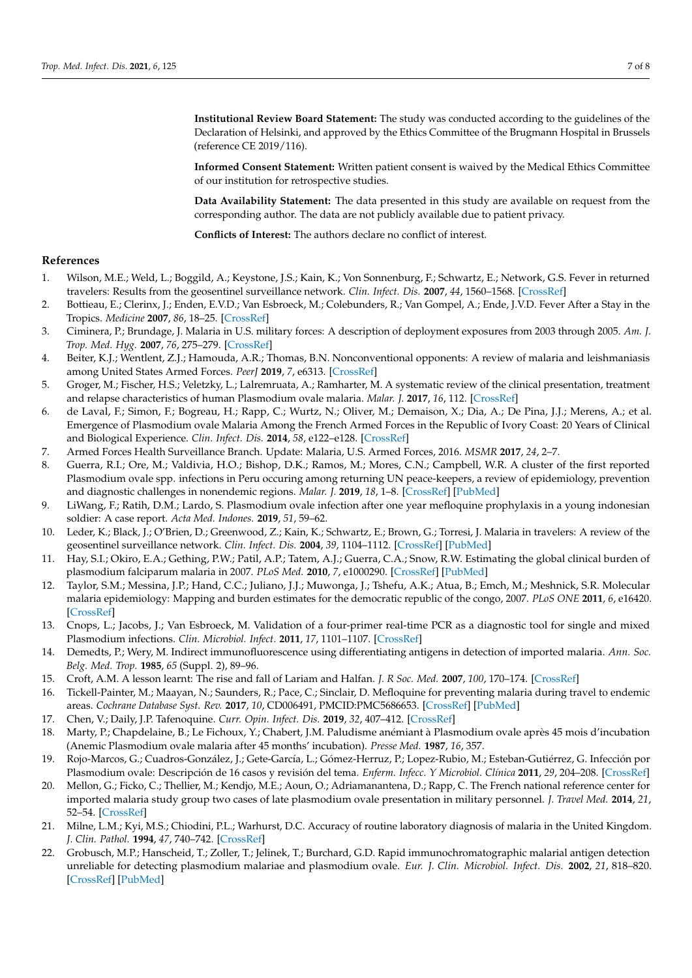**Institutional Review Board Statement:** The study was conducted according to the guidelines of the Declaration of Helsinki, and approved by the Ethics Committee of the Brugmann Hospital in Brussels (reference CE 2019/116).

**Informed Consent Statement:** Written patient consent is waived by the Medical Ethics Committee of our institution for retrospective studies.

**Data Availability Statement:** The data presented in this study are available on request from the corresponding author. The data are not publicly available due to patient privacy.

**Conflicts of Interest:** The authors declare no conflict of interest.

## **References**

- <span id="page-6-0"></span>1. Wilson, M.E.; Weld, L.; Boggild, A.; Keystone, J.S.; Kain, K.; Von Sonnenburg, F.; Schwartz, E.; Network, G.S. Fever in returned travelers: Results from the geosentinel surveillance network. *Clin. Infect. Dis.* **2007**, *44*, 1560–1568. [\[CrossRef\]](http://doi.org/10.1086/518173)
- <span id="page-6-1"></span>2. Bottieau, E.; Clerinx, J.; Enden, E.V.D.; Van Esbroeck, M.; Colebunders, R.; Van Gompel, A.; Ende, J.V.D. Fever After a Stay in the Tropics. *Medicine* **2007**, *86*, 18–25. [\[CrossRef\]](http://doi.org/10.1097/MD.0b013e3180305c48)
- <span id="page-6-2"></span>3. Ciminera, P.; Brundage, J. Malaria in U.S. military forces: A description of deployment exposures from 2003 through 2005. *Am. J. Trop. Med. Hyg.* **2007**, *76*, 275–279. [\[CrossRef\]](http://doi.org/10.4269/ajtmh.2007.76.275)
- <span id="page-6-3"></span>4. Beiter, K.J.; Wentlent, Z.J.; Hamouda, A.R.; Thomas, B.N. Nonconventional opponents: A review of malaria and leishmaniasis among United States Armed Forces. *PeerJ* **2019**, *7*, e6313. [\[CrossRef\]](http://doi.org/10.7717/peerj.6313)
- <span id="page-6-4"></span>5. Groger, M.; Fischer, H.S.; Veletzky, L.; Lalremruata, A.; Ramharter, M. A systematic review of the clinical presentation, treatment and relapse characteristics of human Plasmodium ovale malaria. *Malar. J.* **2017**, *16*, 112. [\[CrossRef\]](http://doi.org/10.1186/s12936-017-1759-2)
- <span id="page-6-5"></span>6. de Laval, F.; Simon, F.; Bogreau, H.; Rapp, C.; Wurtz, N.; Oliver, M.; Demaison, X.; Dia, A.; De Pina, J.J.; Merens, A.; et al. Emergence of Plasmodium ovale Malaria Among the French Armed Forces in the Republic of Ivory Coast: 20 Years of Clinical and Biological Experience. *Clin. Infect. Dis.* **2014**, *58*, e122–e128. [\[CrossRef\]](http://doi.org/10.1093/cid/ciu021)
- <span id="page-6-13"></span>7. Armed Forces Health Surveillance Branch. Update: Malaria, U.S. Armed Forces, 2016. *MSMR* **2017**, *24*, 2–7.
- <span id="page-6-14"></span>8. Guerra, R.I.; Ore, M.; Valdivia, H.O.; Bishop, D.K.; Ramos, M.; Mores, C.N.; Campbell, W.R. A cluster of the first reported Plasmodium ovale spp. infections in Peru occuring among returning UN peace-keepers, a review of epidemiology, prevention and diagnostic challenges in nonendemic regions. *Malar. J.* **2019**, *18*, 1–8. [\[CrossRef\]](http://doi.org/10.1186/s12936-019-2809-8) [\[PubMed\]](http://www.ncbi.nlm.nih.gov/pubmed/31113437)
- <span id="page-6-6"></span>9. LiWang, F.; Ratih, D.M.; Lardo, S. Plasmodium ovale infection after one year mefloquine prophylaxis in a young indonesian soldier: A case report. *Acta Med. Indones.* **2019**, *51*, 59–62.
- <span id="page-6-7"></span>10. Leder, K.; Black, J.; O'Brien, D.; Greenwood, Z.; Kain, K.; Schwartz, E.; Brown, G.; Torresi, J. Malaria in travelers: A review of the geosentinel surveillance network. *Clin. Infect. Dis.* **2004**, *39*, 1104–1112. [\[CrossRef\]](http://doi.org/10.1086/424510) [\[PubMed\]](http://www.ncbi.nlm.nih.gov/pubmed/15486832)
- <span id="page-6-8"></span>11. Hay, S.I.; Okiro, E.A.; Gething, P.W.; Patil, A.P.; Tatem, A.J.; Guerra, C.A.; Snow, R.W. Estimating the global clinical burden of plasmodium falciparum malaria in 2007. *PLoS Med.* **2010**, *7*, e1000290. [\[CrossRef\]](http://doi.org/10.1371/journal.pmed.1000290) [\[PubMed\]](http://www.ncbi.nlm.nih.gov/pubmed/20563310)
- <span id="page-6-9"></span>12. Taylor, S.M.; Messina, J.P.; Hand, C.C.; Juliano, J.J.; Muwonga, J.; Tshefu, A.K.; Atua, B.; Emch, M.; Meshnick, S.R. Molecular malaria epidemiology: Mapping and burden estimates for the democratic republic of the congo, 2007. *PLoS ONE* **2011**, *6*, e16420. [\[CrossRef\]](http://doi.org/10.1371/journal.pone.0016420)
- <span id="page-6-10"></span>13. Cnops, L.; Jacobs, J.; Van Esbroeck, M. Validation of a four-primer real-time PCR as a diagnostic tool for single and mixed Plasmodium infections. *Clin. Microbiol. Infect.* **2011**, *17*, 1101–1107. [\[CrossRef\]](http://doi.org/10.1111/j.1469-0691.2010.03344.x)
- <span id="page-6-11"></span>14. Demedts, P.; Wery, M. Indirect immunofluorescence using differentiating antigens in detection of imported malaria. *Ann. Soc. Belg. Med. Trop.* **1985**, *65* (Suppl. 2), 89–96.
- <span id="page-6-12"></span>15. Croft, A.M. A lesson learnt: The rise and fall of Lariam and Halfan. *J. R Soc. Med.* **2007**, *100*, 170–174. [\[CrossRef\]](http://doi.org/10.1177/014107680710011411)
- <span id="page-6-15"></span>16. Tickell-Painter, M.; Maayan, N.; Saunders, R.; Pace, C.; Sinclair, D. Mefloquine for preventing malaria during travel to endemic areas. *Cochrane Database Syst. Rev.* **2017**, *10*, CD006491, PMCID:PMC5686653. [\[CrossRef\]](http://doi.org/10.1002/14651858.CD006491.pub4) [\[PubMed\]](http://www.ncbi.nlm.nih.gov/pubmed/29083100)
- <span id="page-6-16"></span>17. Chen, V.; Daily, J.P. Tafenoquine. *Curr. Opin. Infect. Dis.* **2019**, *32*, 407–412. [\[CrossRef\]](http://doi.org/10.1097/QCO.0000000000000574)
- <span id="page-6-17"></span>18. Marty, P.; Chapdelaine, B.; Le Fichoux, Y.; Chabert, J.M. Paludisme anémiant à Plasmodium ovale après 45 mois d'incubation (Anemic Plasmodium ovale malaria after 45 months' incubation). *Presse Med.* **1987**, *16*, 357.
- 19. Rojo-Marcos, G.; Cuadros-González, J.; Gete-García, L.; Gómez-Herruz, P.; Lopez-Rubio, M.; Esteban-Gutiérrez, G. Infección por Plasmodium ovale: Descripción de 16 casos y revisión del tema. *Enferm. Infecc. Y Microbiol. Clínica* **2011**, *29*, 204–208. [\[CrossRef\]](http://doi.org/10.1016/j.eimc.2010.09.004)
- <span id="page-6-18"></span>20. Mellon, G.; Ficko, C.; Thellier, M.; Kendjo, M.E.; Aoun, O.; Adriamanantena, D.; Rapp, C. The French national reference center for imported malaria study group two cases of late plasmodium ovale presentation in military personnel. *J. Travel Med.* **2014**, *21*, 52–54. [\[CrossRef\]](http://doi.org/10.1111/jtm.12077)
- <span id="page-6-19"></span>21. Milne, L.M.; Kyi, M.S.; Chiodini, P.L.; Warhurst, D.C. Accuracy of routine laboratory diagnosis of malaria in the United Kingdom. *J. Clin. Pathol.* **1994**, *47*, 740–742. [\[CrossRef\]](http://doi.org/10.1136/jcp.47.8.740)
- 22. Grobusch, M.P.; Hanscheid, T.; Zoller, T.; Jelinek, T.; Burchard, G.D. Rapid immunochromatographic malarial antigen detection unreliable for detecting plasmodium malariae and plasmodium ovale. *Eur. J. Clin. Microbiol. Infect. Dis.* **2002**, *21*, 818–820. [\[CrossRef\]](http://doi.org/10.1007/s10096-002-0831-0) [\[PubMed\]](http://www.ncbi.nlm.nih.gov/pubmed/12461593)